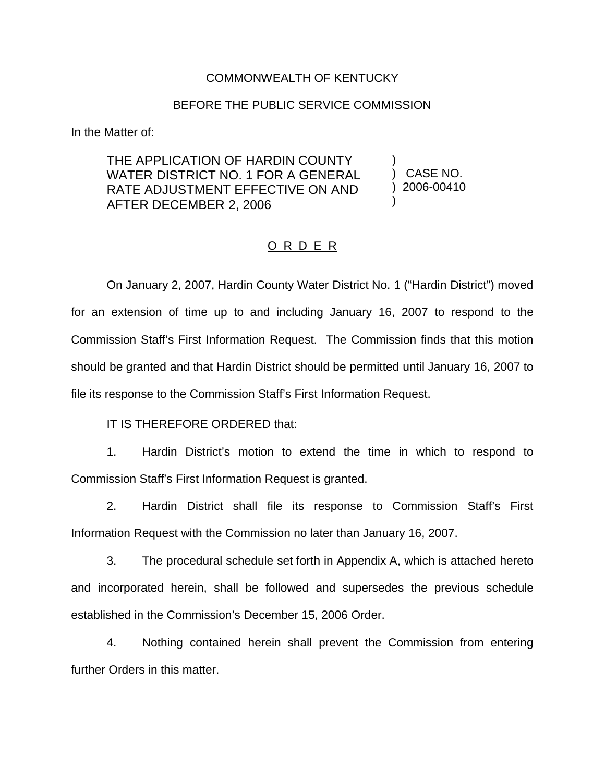### COMMONWEALTH OF KENTUCKY

#### BEFORE THE PUBLIC SERVICE COMMISSION

In the Matter of:

THE APPLICATION OF HARDIN COUNTY WATER DISTRICT NO. 1 FOR A GENERAL RATE ADJUSTMENT EFFECTIVE ON AND AFTER DECEMBER 2, 2006

) CASE NO. ) 2006-00410

)

)

## O R D E R

On January 2, 2007, Hardin County Water District No. 1 ("Hardin District") moved for an extension of time up to and including January 16, 2007 to respond to the Commission Staff's First Information Request. The Commission finds that this motion should be granted and that Hardin District should be permitted until January 16, 2007 to file its response to the Commission Staff's First Information Request.

IT IS THEREFORE ORDERED that:

1. Hardin District's motion to extend the time in which to respond to Commission Staff's First Information Request is granted.

2. Hardin District shall file its response to Commission Staff's First Information Request with the Commission no later than January 16, 2007.

3. The procedural schedule set forth in Appendix A, which is attached hereto and incorporated herein, shall be followed and supersedes the previous schedule established in the Commission's December 15, 2006 Order.

4. Nothing contained herein shall prevent the Commission from entering further Orders in this matter.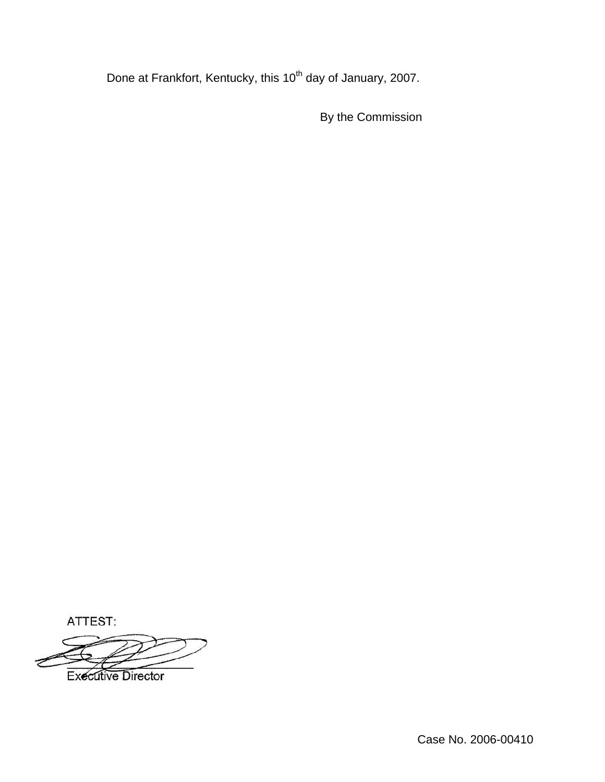Done at Frankfort, Kentucky, this 10<sup>th</sup> day of January, 2007.

By the Commission

ATTEST:

**Executive Director** 

Case No. 2006-00410